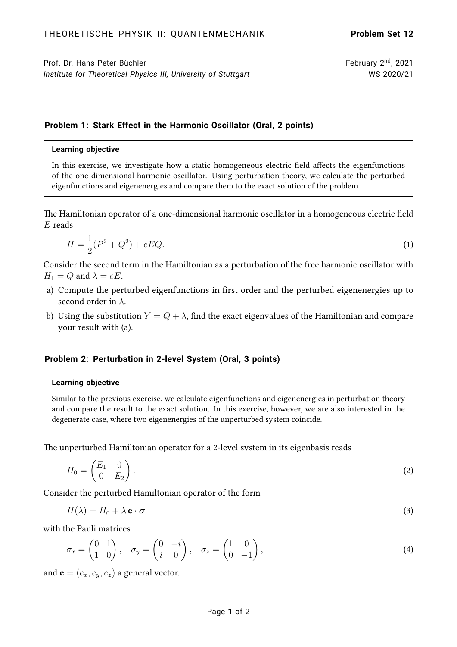## **Problem 1: Stark Effect in the Harmonic Oscillator (Oral, 2 points)**

#### **Learning objective**

In this exercise, we investigate how a static homogeneous electric field affects the eigenfunctions of the one-dimensional harmonic oscillator. Using perturbation theory, we calculate the perturbed eigenfunctions and eigenenergies and compare them to the exact solution of the problem.

The Hamiltonian operator of a one-dimensional harmonic oscillator in a homogeneous electric field  $E$  reads

$$
H = \frac{1}{2}(P^2 + Q^2) + eEQ.
$$
 (1)

Consider the second term in the Hamiltonian as a perturbation of the free harmonic oscillator with  $H_1 = Q$  and  $\lambda = eE$ .

- a) Compute the perturbed eigenfunctions in first order and the perturbed eigenenergies up to second order in  $\lambda$ .
- b) Using the substitution  $Y = Q + \lambda$ , find the exact eigenvalues of the Hamiltonian and compare your result with (a).

### **Problem 2: Perturbation in 2-level System (Oral, 3 points)**

#### **Learning objective**

Similar to the previous exercise, we calculate eigenfunctions and eigenenergies in perturbation theory and compare the result to the exact solution. In this exercise, however, we are also interested in the degenerate case, where two eigenenergies of the unperturbed system coincide.

The unperturbed Hamiltonian operator for a 2-level system in its eigenbasis reads

$$
H_0 = \begin{pmatrix} E_1 & 0 \\ 0 & E_2 \end{pmatrix} . \tag{2}
$$

Consider the perturbed Hamiltonian operator of the form

 $H(\lambda) = H_0 + \lambda \mathbf{e} \cdot \boldsymbol{\sigma}$  (3)

with the Pauli matrices

$$
\sigma_x = \begin{pmatrix} 0 & 1 \\ 1 & 0 \end{pmatrix}, \quad \sigma_y = \begin{pmatrix} 0 & -i \\ i & 0 \end{pmatrix}, \quad \sigma_z = \begin{pmatrix} 1 & 0 \\ 0 & -1 \end{pmatrix}, \tag{4}
$$

and  $\mathbf{e} = (e_x, e_y, e_z)$  a general vector.